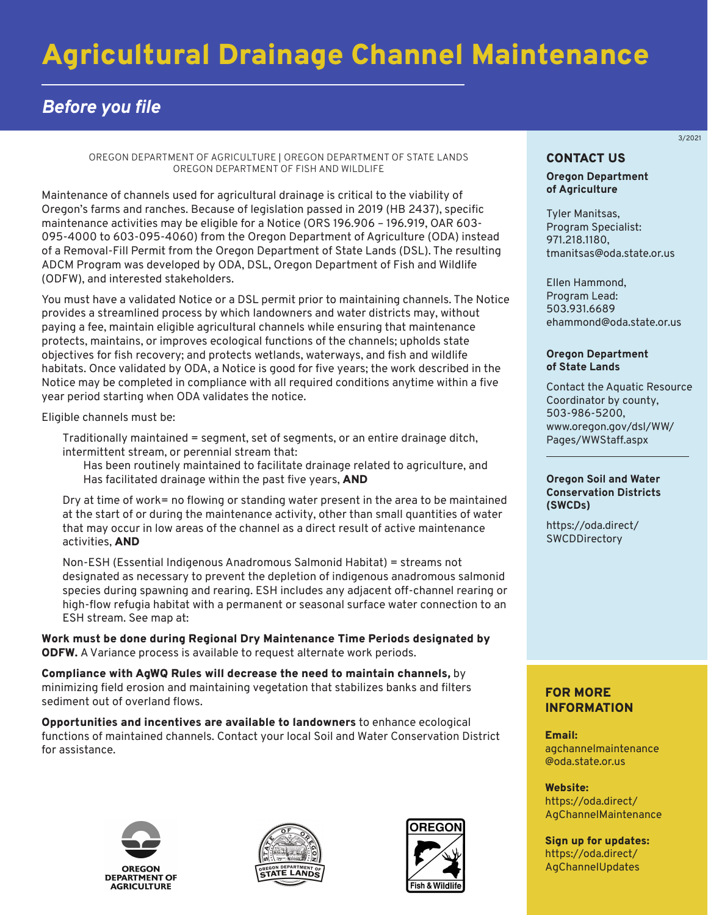# Agricultural Drainage Channel Maintenance

# *Before you file*

OREGON DEPARTMENT OF AGRICULTURE | OREGON DEPARTMENT OF STATE LANDS OREGON DEPARTMENT OF FISH AND WILDLIFE

Maintenance of channels used for agricultural drainage is critical to the viability of Oregon's farms and ranches. Because of legislation passed in 2019 (HB 2437), specific maintenance activities may be eligible for a Notice (ORS 196.906 – 196.919, OAR 603- 095-4000 to 603-095-4060) from the Oregon Department of Agriculture (ODA) instead of a Removal-Fill Permit from the Oregon Department of State Lands (DSL). The resulting ADCM Program was developed by ODA, DSL, Oregon Department of Fish and Wildlife (ODFW), and interested stakeholders.

You must have a validated Notice or a DSL permit prior to maintaining channels. The Notice provides a streamlined process by which landowners and water districts may, without paying a fee, maintain eligible agricultural channels while ensuring that maintenance protects, maintains, or improves ecological functions of the channels; upholds state objectives for fish recovery; and protects wetlands, waterways, and fish and wildlife habitats. Once validated by ODA, a Notice is good for five years; the work described in the Notice may be completed in compliance with all required conditions anytime within a five year period starting when ODA validates the notice.

Eligible channels must be:

- 1. Traditionally maintained = segment, set of segments, or an entire drainage ditch, intermittent stream, or perennial stream that:
	- a. Has been routinely maintained to facilitate drainage related to agriculture, and
	- b. Has facilitated drainage within the past five years, AND
- 2. Dry at time of work= no flowing or standing water present in the area to be maintained at the start of or during the maintenance activity, other than small quantities of water that may occur in low areas of the channel as a direct result of active maintenance activities, AND
- 3. Non-ESH (Essential Indigenous Anadromous Salmonid Habitat) = streams not designated as necessary to prevent the depletion of indigenous anadromous salmonid species during spawning and rearing. ESH includes any adjacent off-channel rearing or high-flow refugia habitat with a permanent or seasonal surface water connection to an ESH stream. See map at: https://maps.dsl.state.or.us/esh/.

Work must be done during Regional Dry Maintenance Time Periods designated by ODFW. A Variance process is available to request alternate work periods.

Compliance with AgWQ Rules will decrease the need to maintain channels, by minimizing field erosion and maintaining vegetation that stabilizes banks and filters sediment out of overland flows.

Opportunities and incentives are available to landowners to enhance ecological functions of maintained channels. Contact your local Soil and Water Conservation District for assistance.







# 3/2021

# CONTACT US

#### **Oregon Department of Agriculture**

Tyler Manitsas, Program Specialist: 971.218.1180, tmanitsas@oda.state.or.us

Ellen Hammond, Program Lead: 503.931.6689 ehammond@oda.state.or.us

#### **Oregon Department of State Lands**

Contact the Aquatic Resource Coordinator by county, 503-986-5200, [www.oregon.gov/dsl/WW/](https://www.oregon.gov/dsl/ww/pages/wwstaff.aspx) Pages/WWStaff.aspx

#### **Oregon Soil and Water Conservation Districts (SWCDs)**

[https://oda.direct/](https://www.oregon.gov/ODA/shared/Documents/Publications/NaturalResources/SWCDDirectory.pdf) **SWCDDirectory** 

# FOR MORE INFORMATION

Email: [agchannelmaintenance](mailto:agchannelmaintenance@oda.state.or.us)  @oda.state.or.us

Website: https://oda.direct/ [AgChannelMaintenance](https://www.oregon.gov/ODA/programs/NaturalResources/Pages/AgChannelMaintenance.aspx)

Sign up for updates: [https://oda.direct/](https://oda.direct/AgChannelUpdates)  AgChannelUpdates